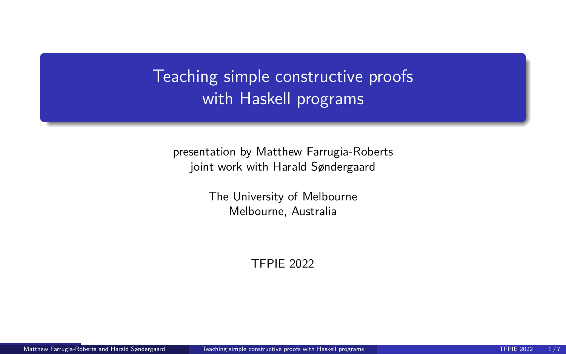<span id="page-0-0"></span>Teaching simple constructive proofs with Haskell programs

presentation by Matthew Farrugia-Roberts joint work with Harald Søndergaard

> The University of Melbourne Melbourne, Australia

> > TFPIE 2022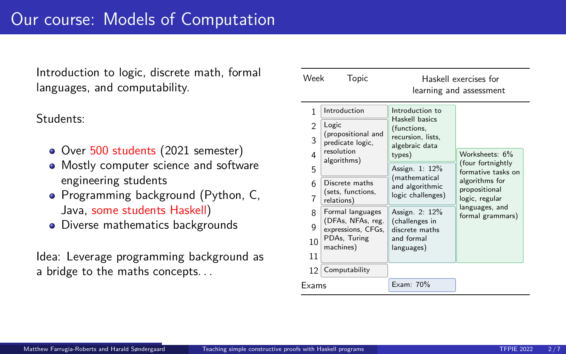Introduction to logic, discrete math, formal languages, and computability.

Students:

- Over 500 students (2021 semester)
- Mostly computer science and software engineering students
- Programming background (Python, C, Java, some students Haskell)
- Diverse mathematics backgrounds

Idea: Leverage programming background as a bridge to the maths concepts. . .

| Week           | Topic                                                                        |                                                                                | Haskell exercises for<br>learning and assessment                                                                                                     |
|----------------|------------------------------------------------------------------------------|--------------------------------------------------------------------------------|------------------------------------------------------------------------------------------------------------------------------------------------------|
| 1              | Introduction                                                                 | Introduction to                                                                |                                                                                                                                                      |
| $\overline{2}$ | Logic<br>(propositional and<br>predicate logic,<br>resolution<br>algorithms) | Haskell basics<br>(functions,<br>recursion, lists,<br>algebraic data<br>types) |                                                                                                                                                      |
| 3              |                                                                              |                                                                                |                                                                                                                                                      |
| 4              |                                                                              |                                                                                | Worksheets: 6%<br>(four fortnightly<br>formative tasks on<br>algorithms for<br>propositional<br>logic, regular<br>languages, and<br>formal grammars) |
| 5              |                                                                              | Assign. 1: 12%<br>(mathematical<br>and algorithmic<br>logic challenges)        |                                                                                                                                                      |
| 6              | Discrete maths<br>(sets, functions,<br>relations)                            |                                                                                |                                                                                                                                                      |
| 7              |                                                                              |                                                                                |                                                                                                                                                      |
| 8              | Formal languages                                                             | Assign. 2: 12%                                                                 |                                                                                                                                                      |
| 9              | (DFAs, NFAs, reg.<br>expressions, CFGs,                                      | (challenges in<br>discrete maths                                               |                                                                                                                                                      |
| 10             | PDAs, Turing<br>machines)                                                    | and formal<br>languages)                                                       |                                                                                                                                                      |
| 11             |                                                                              |                                                                                |                                                                                                                                                      |
| 12             | Computability                                                                |                                                                                |                                                                                                                                                      |
| Exams          |                                                                              | Exam: 70%                                                                      |                                                                                                                                                      |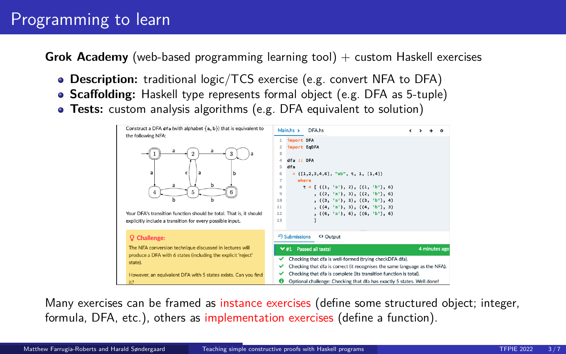# Programming to learn

**Grok Academy** (web-based programming learning tool) + custom Haskell exercises

- **Description:** traditional logic/TCS exercise (e.g. convert NFA to DFA)
- **Scaffolding:** Haskell type represents formal object (e.g. DFA as 5-tuple)
- **Tests:** custom analysis algorithms (e.g. DFA equivalent to solution)



Many exercises can be framed as instance exercises (define some structured object; integer, formula, DFA, etc.), others as implementation exercises (define a function).

Matthew Farrugia-Roberts and Harald Søndergaard [Teaching simple constructive proofs with Haskell programs](#page-0-0) TEPIE 2022 3/7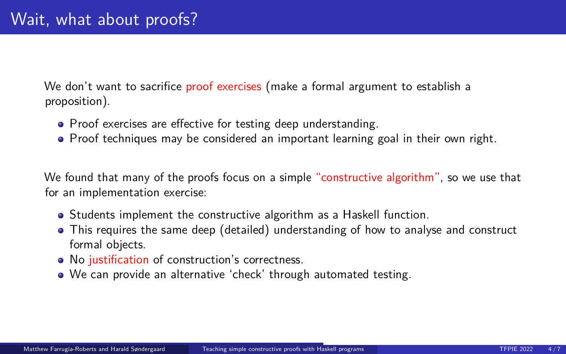We don't want to sacrifice proof exercises (make a formal argument to establish a proposition).

- Proof exercises are effective for testing deep understanding.
- Proof techniques may be considered an important learning goal in their own right.

We found that many of the proofs focus on a simple "constructive algorithm", so we use that for an implementation exercise:

- Students implement the constructive algorithm as a Haskell function.
- This requires the same deep (detailed) understanding of how to analyse and construct formal objects.
- No justification of construction's correctness.
- We can provide an alternative 'check' through automated testing.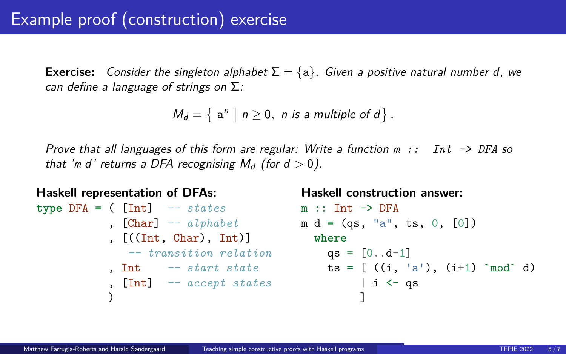# Example proof (construction) exercise

**Exercise:** Consider the singleton alphabet  $\Sigma = \{a\}$ . Given a positive natural number d, we can define a language of strings on  $\Sigma$ :

$$
M_d = \left\{ \begin{array}{c} a^n \mid n \ge 0, \; n \text{ is a multiple of } d \end{array} \right\}.
$$

Prove that all languages of this form are regular: Write a function *m :: Int -> DFA* so that '*m* d' returns a DFA recognising  $M_d$  (for  $d > 0$ ).

```
Haskell representation of DFAs:
type DFA = ( [Int] -- states
          , [Char] -- alphabet
m d = (qs, "a", ts, 0, [0])
          , [((Int, Char), Int)]
where
             -- transition relation
qs = [0..d-1]
          , Int -- start state
ts = [ ((i, 'a'), (i+1) `mod` d)
          , [Int] -- accept states
          )
                                     Haskell construction answer:
                           m :: Int \rightarrow DFA| i <- qs
                                             ]
```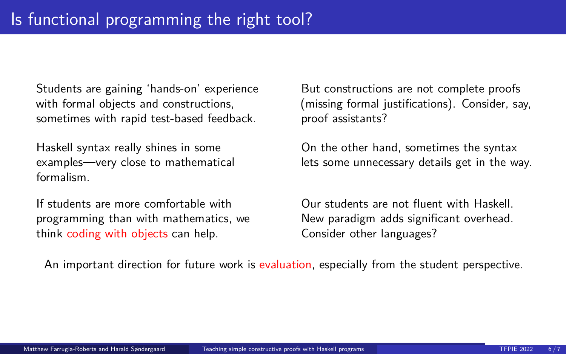Students are gaining 'hands-on' experience with formal objects and constructions, sometimes with rapid test-based feedback.

Haskell syntax really shines in some examples—very close to mathematical formalism.

If students are more comfortable with programming than with mathematics, we think coding with objects can help.

But constructions are not complete proofs (missing formal justifications). Consider, say, proof assistants?

On the other hand, sometimes the syntax lets some unnecessary details get in the way.

Our students are not fluent with Haskell. New paradigm adds significant overhead. Consider other languages?

An important direction for future work is evaluation, especially from the student perspective.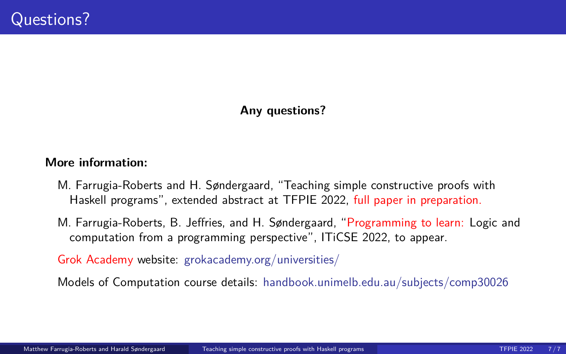### **Any questions?**

#### **More information:**

- M. Farrugia-Roberts and H. Søndergaard, "Teaching simple constructive proofs with Haskell programs", extended abstract at TFPIE 2022, full paper in preparation.
- M. Farrugia-Roberts, B. Jeffries, and H. Søndergaard, "Programming to learn: Logic and computation from a programming perspective", ITiCSE 2022, to appear.

Grok Academy website: [grokacademy.org/universities/](https://grokacademy.org/universities/)

Models of Computation course details: [handbook.unimelb.edu.au/subjects/comp30026](https://handbook.unimelb.edu.au/subjects/comp30026)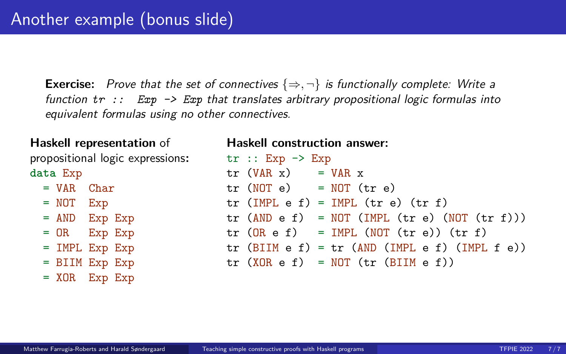**Exercise:** Prove that the set of connectives  $\{\Rightarrow, \neg\}$  is functionally complete: Write a function *tr :: Exp -> Exp* that translates arbitrary propositional logic formulas into equivalent formulas using no other connectives.

#### **Haskell representation** of

propositional logic expressions**: data** Exp

- $=$  VAR Char
- = NOT Exp
- = AND Exp Exp
- = OR Exp Exp
- = IMPL Exp Exp
- = BIIM Exp Exp
- = XOR Exp Exp

#### **Haskell construction answer:**

| $\operatorname{tr}$ :: Exp -> Exp |                                                                                           |  |
|-----------------------------------|-------------------------------------------------------------------------------------------|--|
| $tr$ (VAR x) = VAR x              |                                                                                           |  |
|                                   | $tr(MOT e) = NOT (tr e)$                                                                  |  |
|                                   | $tr$ (IMPL e f) = IMPL ( $tr$ e) ( $tr$ f)                                                |  |
|                                   | $\text{tr (AND e f)} = \text{NOT} (\text{IMPL} (\text{tr e}) (\text{NOT} (\text{tr f})))$ |  |
|                                   | $tr (OR e f) = IMPL (NOT (tr e)) (tr f)$                                                  |  |
|                                   | $tr$ (BIIM e f) = $tr$ (AND (IMPL e f) (IMPL f e))                                        |  |
|                                   | $tr (XOR e f) = NOT (tr (BIIM e f))$                                                      |  |
|                                   |                                                                                           |  |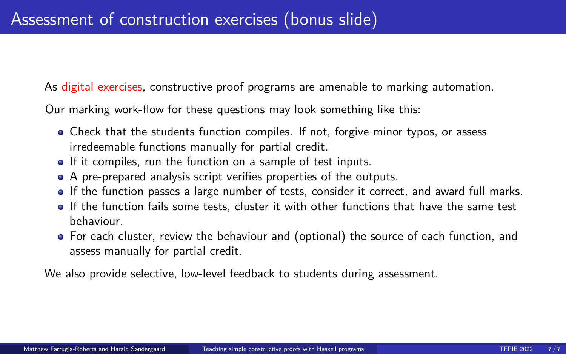As digital exercises, constructive proof programs are amenable to marking automation.

Our marking work-flow for these questions may look something like this:

- Check that the students function compiles. If not, forgive minor typos, or assess irredeemable functions manually for partial credit.
- If it compiles, run the function on a sample of test inputs.
- A pre-prepared analysis script verifies properties of the outputs.
- If the function passes a large number of tests, consider it correct, and award full marks.
- If the function fails some tests, cluster it with other functions that have the same test behaviour.
- For each cluster, review the behaviour and (optional) the source of each function, and assess manually for partial credit.

We also provide selective, low-level feedback to students during assessment.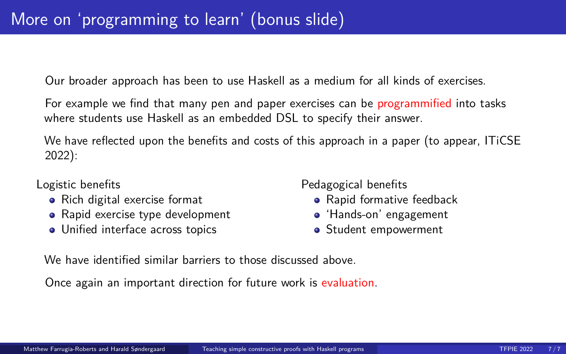Our broader approach has been to use Haskell as a medium for all kinds of exercises.

For example we find that many pen and paper exercises can be programmified into tasks where students use Haskell as an embedded DSL to specify their answer.

We have reflected upon the benefits and costs of this approach in a paper (to appear, ITiCSE 2022):

### Logistic benefits

- Rich digital exercise format
- Rapid exercise type development
- Unified interface across topics

Pedagogical benefits

- Rapid formative feedback
- 'Hands-on' engagement
- **•** Student empowerment

We have identified similar barriers to those discussed above.

Once again an important direction for future work is evaluation.